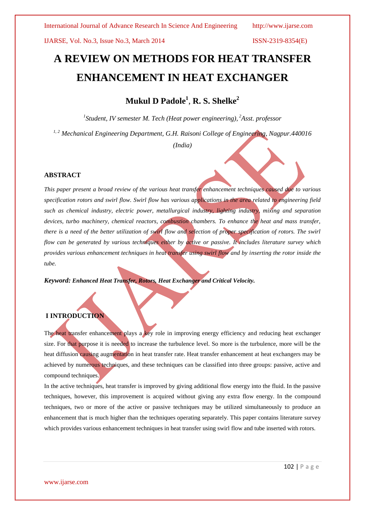# **A REVIEW ON METHODS FOR HEAT TRANSFER ENHANCEMENT IN HEAT EXCHANGER**

**Mukul D Padole<sup>1</sup>** , **R. S. Shelke<sup>2</sup>**

*1 Student, IV semester M. Tech (Heat power engineering), <sup>2</sup>Asst. professor*

*1, 2 Mechanical Engineering Department, G.H. Raisoni College of Engineering, Nagpur.440016* 

*(India)*

# **ABSTRACT**

*This paper present a broad review of the various heat transfer enhancement techniques caused due to various specification rotors and swirl flow. Swirl flow has various applications in the area related to engineering field such as chemical industry, electric power, metallurgical industry, lighting industry, mixing and separation devices, turbo machinery, chemical reactors, combustion chambers. To enhance the heat and mass transfer, there is a need of the better utilization of swirl flow and selection of proper specification of rotors. The swirl flow can be generated by various techniques either by active or passive. It includes literature survey which provides various enhancement techniques in heat transfer using swirl flow and by inserting the rotor inside the tube.*

*Keyword: Enhanced Heat Transfer, Rotors, Heat Exchanger and Critical Velocity.*

# **I INTRODUCTION**

The heat transfer enhancement plays a key role in improving energy efficiency and reducing heat exchanger size. For that purpose it is needed to increase the turbulence level. So more is the turbulence, more will be the heat diffusion causing augmentation in heat transfer rate. Heat transfer enhancement at heat exchangers may be achieved by numerous techniques, and these techniques can be classified into three groups: passive, active and compound techniques.

In the active techniques, heat transfer is improved by giving additional flow energy into the fluid. In the passive techniques, however, this improvement is acquired without giving any extra flow energy. In the compound techniques, two or more of the active or passive techniques may be utilized simultaneously to produce an enhancement that is much higher than the techniques operating separately. This paper contains literature survey which provides various enhancement techniques in heat transfer using swirl flow and tube inserted with rotors.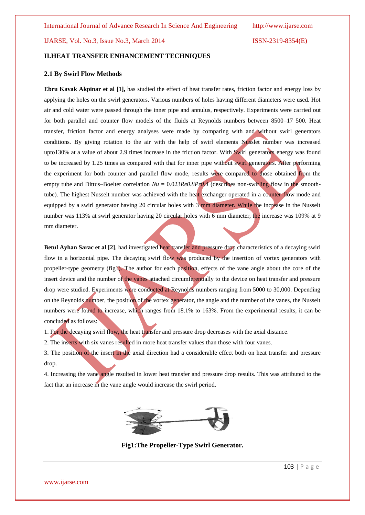# **II.HEAT TRANSFER ENHANCEMENT TECHNIQUES**

# **2.1 By Swirl Flow Methods**

**Ebru Kavak Akpinar et al [1],** has studied the effect of heat transfer rates, friction factor and energy loss by applying the holes on the swirl generators. Various numbers of holes having different diameters were used. Hot air and cold water were passed through the inner pipe and annulus, respectively. Experiments were carried out for both parallel and counter flow models of the fluids at Reynolds numbers between 8500–17 500. Heat transfer, friction factor and energy analyses were made by comparing with and without swirl generators conditions. By giving rotation to the air with the help of swirl elements Nusslet number was increased upto130% at a value of about 2.9 times increase in the friction factor. With Swirl generators energy was found to be increased by 1.25 times as compared with that for inner pipe without swirl generators. After performing the experiment for both counter and parallel flow mode, results were compared to those obtained from the empty tube and Dittus–Boelter correlation  $Nu = 0.023Re0.8Pr0.4$  (describes non-swirling flow in the smoothtube). The highest Nusselt number was achieved with the heat exchanger operated in a counter-flow mode and equipped by a swirl generator having 20 circular holes with 3 mm diameter. While the increase in the Nusselt number was 113% at swirl generator having 20 circular holes with 6 mm diameter, the increase was 109% at 9 mm diameter.

**Betul Ayhan Sarac et al [2]**, had investigated heat transfer and pressure drop characteristics of a decaying swirl flow in a horizontal pipe. The decaying swirl flow was produced by the insertion of vortex generators with propeller-type geometry (fig1). The author for each position, effects of the vane angle about the core of the insert device and the number of the vanes attached circumferentially to the device on heat transfer and pressure drop were studied. Experiments were conducted at Reynolds numbers ranging from 5000 to 30,000. Depending on the Reynolds number, the position of the vortex generator, the angle and the number of the vanes, the Nusselt numbers were found to increase, which ranges from 18.1% to 163%. From the experimental results, it can be concluded as follows:

1. For the decaying swirl flow, the heat transfer and pressure drop decreases with the axial distance.

2. The inserts with six vanes resulted in more heat transfer values than those with four vanes.

3. The position of the insert in the axial direction had a considerable effect both on heat transfer and pressure drop.

4. Increasing the vane angle resulted in lower heat transfer and pressure drop results. This was attributed to the fact that an increase in the vane angle would increase the swirl period.



**Fig1:The Propeller-Type Swirl Generator.**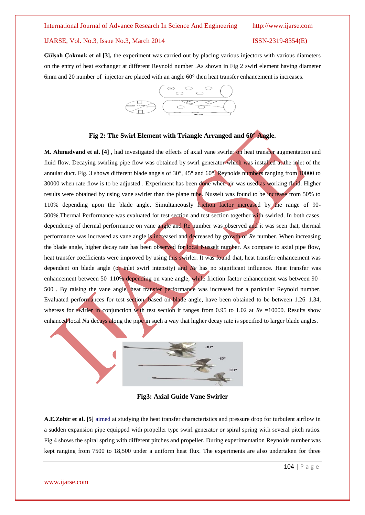**Gülşah Çakmak et al [3],** the experiment was carried out by placing various injectors with various diameters on the entry of heat exchanger at different Reynold number .As shown in Fig 2 swirl element having diameter 6mm and 20 number of injector are placed with an angle 60° then heat transfer enhancement is increases.



### **Fig 2: The Swirl Element with Triangle Arranged and 60° Angle.**

**M. Ahmadvand et al. [4] ,** had investigated the effects of axial vane swirler on heat transfer augmentation and fluid flow. Decaying swirling pipe flow was obtained by swirl generator which was installed at the inlet of the annular duct. Fig. 3 shows different blade angels of 30°, 45° and 60°. Reynolds numbers ranging from 10000 to 30000 when rate flow is to be adjusted . Experiment has been done when air was used as working fluid. Higher results were obtained by using vane swirler than the plane tube. Nusselt was found to be increase from 50% to 110% depending upon the blade angle. Simultaneously friction factor increased by the range of 90- 500%.Thermal Performance was evaluated for test section and test section together with swirled. In both cases, dependency of thermal performance on vane angle and Re number was observed and it was seen that, thermal performance was increased as vane angle is increased and decreased by growth of *Re* number. When increasing the blade angle, higher decay rate has been observed for local Nusselt number. As compare to axial pipe flow, heat transfer coefficients were improved by using this swirler. It was found that, heat transfer enhancement was dependent on blade angle (or inlet swirl intensity) and *Re* has no significant influence. Heat transfer was enhancement between 50–110% depending on vane angle, while friction factor enhancement was between 90– 500 . By raising the vane angle, heat transfer performance was increased for a particular Reynold number. Evaluated performances for test section, based on blade angle, have been obtained to be between 1.26–1.34, whereas for swirler in conjunction with test section it ranges from 0.95 to 1.02 at  $Re = 10000$ . Results show enhanced local *Nu* decays along the pipe in such a way that higher decay rate is specified to larger blade angles.



**Fig3: Axial Guide Vane Swirler**

**A.E.Zohir et al. [5]** aimed at studying the heat transfer characteristics and pressure drop for turbulent airflow in a sudden expansion pipe equipped with propeller type swirl generator or spiral spring with several pitch ratios. Fig 4 shows the spiral spring with different pitches and propeller. During experimentation Reynolds number was kept ranging from 7500 to 18,500 under a uniform heat flux. The experiments are also undertaken for three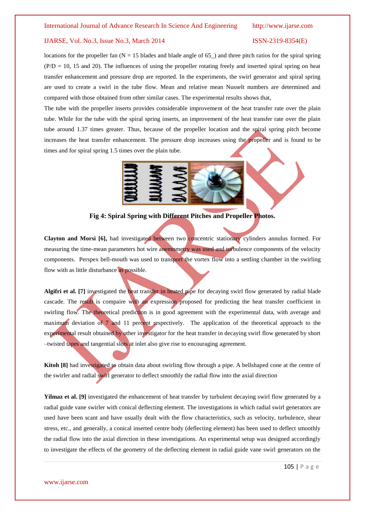locations for the propeller fan  $(N = 15$  blades and blade angle of 65<sub>-</sub>) and three pitch ratios for the spiral spring  $(P/D = 10, 15, and 20)$ . The influences of using the propeller rotating freely and inserted spiral spring on heat transfer enhancement and pressure drop are reported. In the experiments, the swirl generator and spiral spring are used to create a swirl in the tube flow. Mean and relative mean Nusselt numbers are determined and compared with those obtained from other similar cases. The experimental results shows that,

The tube with the propeller inserts provides considerable improvement of the heat transfer rate over the plain tube. While for the tube with the spiral spring inserts, an improvement of the heat transfer rate over the plain tube around 1.37 times greater. Thus, because of the propeller location and the spiral spring pitch become increases the heat transfer enhancement. The pressure drop increases using the propeller and is found to be times and for spiral spring 1.5 times over the plain tube.



# **Fig 4: Spiral Spring with Different Pitches and Propeller Photos.**

**Clayton and Morsi [6],** had investigated between two concentric stationary cylinders annulus formed. For measuring the time-mean parameters hot wire anemometry was used and turbulence components of the velocity components. Perspex bell-mouth was used to transport the vortex flow into a settling chamber in the swirling flow with as little disturbance as possible.

**Algifri et al. [7]** investigated the heat transfer in heated pipe for decaying swirl flow generated by radial blade cascade. The result is compaire with an expression proposed for predicting the heat transfer coefficient in swirling flow. The theoretical prediction is in good agreement with the experimental data, with average and maximum deviation of 7 and 11 percent respectively. The application of the theoretical approach to the experimental result obtained by other investigator for the heat transfer in decaying swirl flow generated by short –twisted tapes and tangential slots at inlet also give rise to encouraging agreement.

**Kitoh [8]** had investigated to obtain data about swirling flow through a pipe. A bellshaped cone at the centre of the swirler and radial swirl generator to deflect smoothly the radial flow into the axial direction

**Yilmaz et al. [9]** investigated the enhancement of heat transfer by turbulent decaying swirl flow generated by a radial guide vane swirler with conical deflecting element. The investigations in which radial swirl generators are used have been scant and have usually dealt with the flow characteristics, such as velocity, turbulence, shear stress, etc., and generally, a conical inserted centre body (deflecting element) has been used to deflect smoothly the radial flow into the axial direction in these investigations. An experimental setup was designed accordingly to investigate the effects of the geometry of the deflecting element in radial guide vane swirl generators on the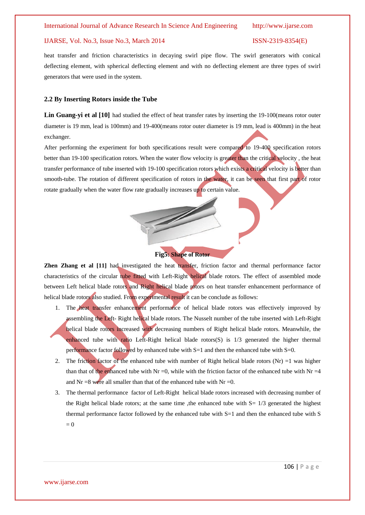heat transfer and friction characteristics in decaying swirl pipe flow. The swirl generators with conical deflecting element, with spherical deflecting element and with no deflecting element are three types of swirl generators that were used in the system.

### **2.2 By Inserting Rotors inside the Tube**

Lin Guang-yi et al [10] had studied the effect of heat transfer rates by inserting the 19-100 (means rotor outer diameter is 19 mm, lead is 100mm) and 19-400(means rotor outer diameter is 19 mm, lead is 400mm) in the heat exchanger.

After performing the experiment for both specifications result were compared to 19-400 specification rotors better than 19-100 specification rotors. When the water flow velocity is greater than the critical velocity , the heat transfer performance of tube inserted with 19-100 specification rotors which exists a critical velocity is better than smooth-tube. The rotation of different specification of rotors in the water, it can be seen that first part of rotor rotate gradually when the water flow rate gradually increases up to certain value.

# **Fig5: Shape of Rotor**

**Zhen Zhang et al [11]** had investigated the heat transfer, friction factor and thermal performance factor characteristics of the circular tube fitted with Left-Right helical blade rotors. The effect of assembled mode between Left helical blade rotors and Right helical blade rotors on heat transfer enhancement performance of helical blade rotors also studied. From experimental result it can be conclude as follows:

- 1. The heat transfer enhancement performance of helical blade rotors was effectively improved by assembling the Left- Right helical blade rotors. The Nusselt number of the tube inserted with Left-Right helical blade rotors increased with decreasing numbers of Right helical blade rotors. Meanwhile, the enhanced tube with ratio Left-Right helical blade rotors(S) is 1/3 generated the higher thermal performance factor followed by enhanced tube with S=1 and then the enhanced tube with S=0.
- 2. The friction factor of the enhanced tube with number of Right helical blade rotors (Nr) =1 was higher than that of the enhanced tube with Nr =0, while with the friction factor of the enhanced tube with Nr =4 and Nr =8 were all smaller than that of the enhanced tube with Nr =0.
- 3. The thermal performance factor of Left-Right helical blade rotors increased with decreasing number of the Right helical blade rotors; at the same time, the enhanced tube with  $S = \frac{1}{3}$  generated the highest thermal performance factor followed by the enhanced tube with S=1 and then the enhanced tube with S  $= 0$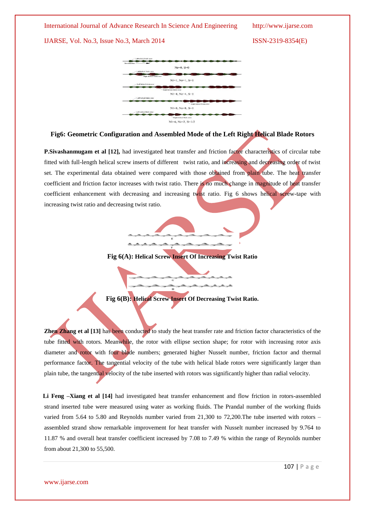### International Journal of Advance Research In Science And Engineering http://www.ijarse.com

IJARSE, Vol. No.3, Issue No.3, March 2014 ISSN-2319-8354(E)



# **Fig6: Geometric Configuration and Assembled Mode of the Left Right Helical Blade Rotors**

**P.Sivashanmugam et al [12],** had investigated heat transfer and friction factor characteristics of circular tube fitted with full-length helical screw inserts of different twist ratio, and increasing and decreasing order of twist set. The experimental data obtained were compared with those obtained from plain tube. The heat transfer coefficient and friction factor increases with twist ratio. There is no much change in magnitude of heat transfer coefficient enhancement with decreasing and increasing twist ratio. Fig 6 shows helical screw-tape with increasing twist ratio and decreasing twist ratio.



**Fig 6(A): Helical Screw Insert Of Increasing Twist Ratio**

**Fig 6(B): Helical Screw Insert Of Decreasing Twist Ratio.**

**Zhen Zhang et al [13]** has been conducted to study the heat transfer rate and friction factor characteristics of the tube fitted with rotors. Meanwhile, the rotor with ellipse section shape; for rotor with increasing rotor axis diameter and rotor with four blade numbers; generated higher Nusselt number, friction factor and thermal performance factor. The tangential velocity of the tube with helical blade rotors were significantly larger than plain tube, the tangential velocity of the tube inserted with rotors was significantly higher than radial velocity.

**Li Feng –Xiang et al [14]** had investigated heat transfer enhancement and flow friction in rotors-assembled strand inserted tube were measured using water as working fluids. The Prandal number of the working fluids varied from 5.64 to 5.80 and Reynolds number varied from 21,300 to 72,200.The tube inserted with rotors – assembled strand show remarkable improvement for heat transfer with Nusselt number increased by 9.764 to 11.87 % and overall heat transfer coefficient increased by 7.08 to 7.49 % within the range of Reynolds number from about 21,300 to 55,500.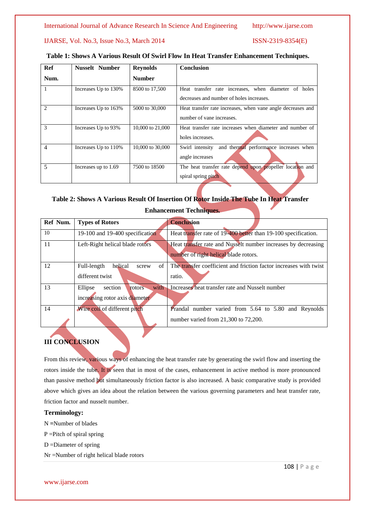International Journal of Advance Research In Science And Engineering http://www.ijarse.com

IJARSE, Vol. No.3, Issue No.3, March 2014 ISSN-2319-8354(E)

| <b>Ref</b>     | <b>Nusselt Number</b> | <b>Reynolds</b>  | <b>Conclusion</b>                                           |
|----------------|-----------------------|------------------|-------------------------------------------------------------|
| Num.           |                       | <b>Number</b>    |                                                             |
|                | Increases Up to 130%  | 8500 to 17,500   | Heat transfer rate increases, when diameter of holes        |
|                |                       |                  | decreases and number of holes increases.                    |
| 2              | Increases Up to 163%  | 5000 to 30,000   | Heat transfer rate increases, when vane angle decreases and |
|                |                       |                  | number of vane increases.                                   |
| 3              | Increases Up to 93%   | 10,000 to 21,000 | Heat transfer rate increases when diameter and number of    |
|                |                       |                  | holes increases.                                            |
| $\overline{4}$ | Increases Up to 110%  | 10,000 to 30,000 | and thermal performance increases when<br>Swirl intensity   |
|                |                       |                  | angle increases                                             |
| 5              | Increases up to 1.69  | 7500 to 18500    | The heat transfer rate depend upon propeller location and   |
|                |                       |                  | spiral spring pitch                                         |

# **Table 1: Shows A Various Result Of Swirl Flow In Heat Transfer Enhancement Techniques.**

# **Table 2: Shows A Various Result Of Insertion Of Rotor Inside The Tube In Heat Transfer**

| Ref Num. | <b>Types of Rotors</b>                                                 | <b>Conclusion</b>                                                                                      |
|----------|------------------------------------------------------------------------|--------------------------------------------------------------------------------------------------------|
| 10       | 19-100 and 19-400 specification                                        | Heat transfer rate of 19-400 better than 19-100 specification.                                         |
| 11       | Left-Right helical blade rotors                                        | Heat transfer rate and Nusselt number increases by decreasing<br>number of right helical blade rotors. |
| 12       | of<br>Full-length<br>helical<br>screw<br>different twist               | The transfer coefficient and friction factor increases with twist<br>ratio.                            |
| 13       | with<br>Ellipse<br>section<br>rotors<br>increasing rotor axis diameter | Increases heat transfer rate and Nusselt number                                                        |
| 14       | Wire coil of different pitch                                           | Prandal number varied from 5.64 to 5.80 and Reynolds<br>number varied from 21,300 to 72,200.           |

# **Enhancement Techniques.**

# **III CONCLUSION**

From this review, various ways of enhancing the heat transfer rate by generating the swirl flow and inserting the rotors inside the tube. It is seen that in most of the cases, enhancement in active method is more pronounced than passive method but simultaneously friction factor is also increased. A basic comparative study is provided above which gives an idea about the relation between the various governing parameters and heat transfer rate, friction factor and nusselt number.

# **Terminology:**

- N **=**Number of blades
- P =Pitch of spiral spring
- D =Diameter of spring
- Nr =Number of right helical blade rotors